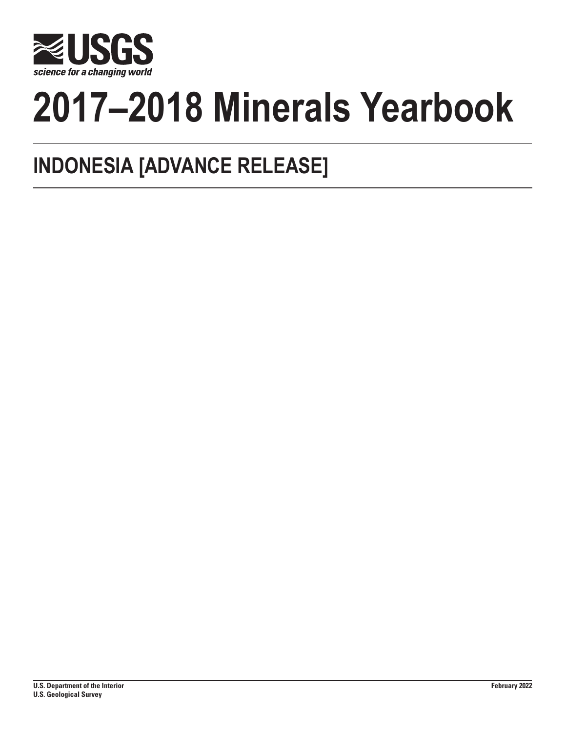

# **2017–2018 Minerals Yearbook**

## **INDONESIA [ADVANCE RELEASE]**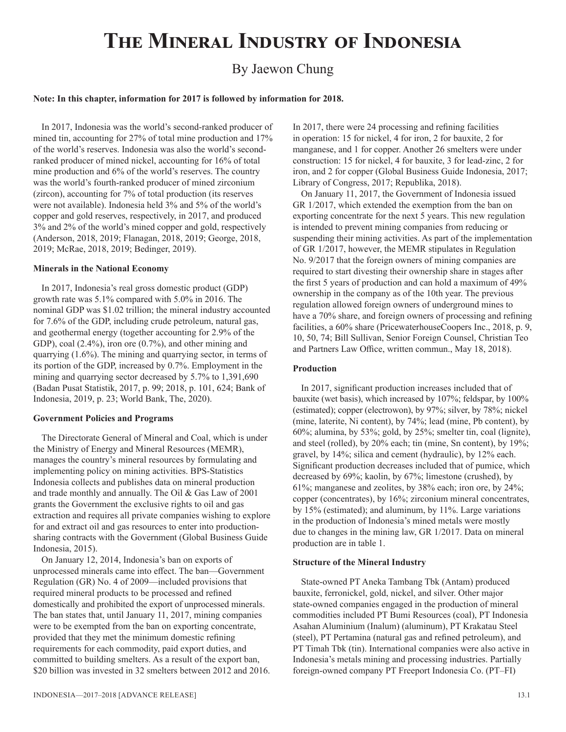## **The Mineral Industry of Indonesia**

### By Jaewon Chung

#### **Note: In this chapter, information for 2017 is followed by information for 2018.**

In 2017, Indonesia was the world's second-ranked producer of mined tin, accounting for 27% of total mine production and 17% of the world's reserves. Indonesia was also the world's secondranked producer of mined nickel, accounting for 16% of total mine production and 6% of the world's reserves. The country was the world's fourth-ranked producer of mined zirconium (zircon), accounting for 7% of total production (its reserves were not available). Indonesia held 3% and 5% of the world's copper and gold reserves, respectively, in 2017, and produced 3% and 2% of the world's mined copper and gold, respectively (Anderson, 2018, 2019; Flanagan, 2018, 2019; George, 2018, 2019; McRae, 2018, 2019; Bedinger, 2019).

#### **Minerals in the National Economy**

In 2017, Indonesia's real gross domestic product (GDP) growth rate was 5.1% compared with 5.0% in 2016. The nominal GDP was \$1.02 trillion; the mineral industry accounted for 7.6% of the GDP, including crude petroleum, natural gas, and geothermal energy (together accounting for 2.9% of the GDP), coal  $(2.4\%)$ , iron ore  $(0.7\%)$ , and other mining and quarrying (1.6%). The mining and quarrying sector, in terms of its portion of the GDP, increased by 0.7%. Employment in the mining and quarrying sector decreased by 5.7% to 1,391,690 (Badan Pusat Statistik, 2017, p. 99; 2018, p. 101, 624; Bank of Indonesia, 2019, p. 23; World Bank, The, 2020).

#### **Government Policies and Programs**

The Directorate General of Mineral and Coal, which is under the Ministry of Energy and Mineral Resources (MEMR), manages the country's mineral resources by formulating and implementing policy on mining activities. BPS-Statistics Indonesia collects and publishes data on mineral production and trade monthly and annually. The Oil & Gas Law of 2001 grants the Government the exclusive rights to oil and gas extraction and requires all private companies wishing to explore for and extract oil and gas resources to enter into productionsharing contracts with the Government (Global Business Guide Indonesia, 2015).

On January 12, 2014, Indonesia's ban on exports of unprocessed minerals came into effect. The ban—Government Regulation (GR) No. 4 of 2009—included provisions that required mineral products to be processed and refined domestically and prohibited the export of unprocessed minerals. The ban states that, until January 11, 2017, mining companies were to be exempted from the ban on exporting concentrate, provided that they met the minimum domestic refining requirements for each commodity, paid export duties, and committed to building smelters. As a result of the export ban, \$20 billion was invested in 32 smelters between 2012 and 2016. In 2017, there were 24 processing and refining facilities in operation: 15 for nickel, 4 for iron, 2 for bauxite, 2 for manganese, and 1 for copper. Another 26 smelters were under construction: 15 for nickel, 4 for bauxite, 3 for lead-zinc, 2 for iron, and 2 for copper (Global Business Guide Indonesia, 2017; Library of Congress, 2017; Republika, 2018).

On January 11, 2017, the Government of Indonesia issued GR 1/2017, which extended the exemption from the ban on exporting concentrate for the next 5 years. This new regulation is intended to prevent mining companies from reducing or suspending their mining activities. As part of the implementation of GR 1/2017, however, the MEMR stipulates in Regulation No. 9/2017 that the foreign owners of mining companies are required to start divesting their ownership share in stages after the first 5 years of production and can hold a maximum of 49% ownership in the company as of the 10th year. The previous regulation allowed foreign owners of underground mines to have a 70% share, and foreign owners of processing and refining facilities, a 60% share (PricewaterhouseCoopers Inc., 2018, p. 9, 10, 50, 74; Bill Sullivan, Senior Foreign Counsel, Christian Teo and Partners Law Office, written commun., May 18, 2018).

#### **Production**

In 2017, significant production increases included that of bauxite (wet basis), which increased by 107%; feldspar, by 100% (estimated); copper (electrowon), by 97%; silver, by 78%; nickel (mine, laterite, Ni content), by 74%; lead (mine, Pb content), by 60%; alumina, by 53%; gold, by 25%; smelter tin, coal (lignite), and steel (rolled), by 20% each; tin (mine, Sn content), by 19%; gravel, by 14%; silica and cement (hydraulic), by 12% each. Significant production decreases included that of pumice, which decreased by 69%; kaolin, by 67%; limestone (crushed), by 61%; manganese and zeolites, by 38% each; iron ore, by 24%; copper (concentrates), by 16%; zirconium mineral concentrates, by 15% (estimated); and aluminum, by 11%. Large variations in the production of Indonesia's mined metals were mostly due to changes in the mining law, GR 1/2017. Data on mineral production are in table 1.

#### **Structure of the Mineral Industry**

State-owned PT Aneka Tambang Tbk (Antam) produced bauxite, ferronickel, gold, nickel, and silver. Other major state-owned companies engaged in the production of mineral commodities included PT Bumi Resources (coal), PT Indonesia Asahan Aluminium (Inalum) (aluminum), PT Krakatau Steel (steel), PT Pertamina (natural gas and refined petroleum), and PT Timah Tbk (tin). International companies were also active in Indonesia's metals mining and processing industries. Partially foreign-owned company PT Freeport Indonesia Co. (PT–FI)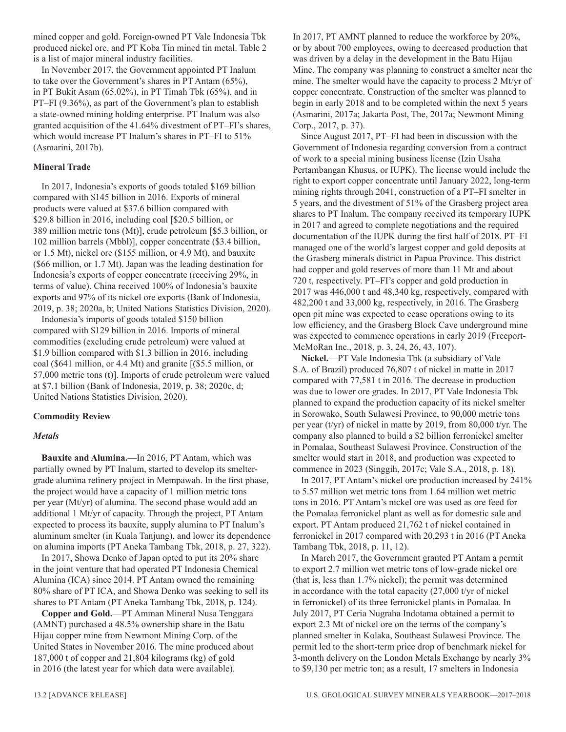mined copper and gold. Foreign-owned PT Vale Indonesia Tbk produced nickel ore, and PT Koba Tin mined tin metal. Table 2 is a list of major mineral industry facilities.

In November 2017, the Government appointed PT Inalum to take over the Government's shares in PT Antam (65%), in PT Bukit Asam (65.02%), in PT Timah Tbk (65%), and in PT–FI (9.36%), as part of the Government's plan to establish a state-owned mining holding enterprise. PT Inalum was also granted acquisition of the 41.64% divestment of PT–FI's shares, which would increase PT Inalum's shares in PT–FI to 51% (Asmarini, 2017b).

#### **Mineral Trade**

In 2017, Indonesia's exports of goods totaled \$169 billion compared with \$145 billion in 2016. Exports of mineral products were valued at \$37.6 billion compared with \$29.8 billion in 2016, including coal [\$20.5 billion, or 389 million metric tons (Mt)], crude petroleum [\$5.3 billion, or 102 million barrels (Mbbl)], copper concentrate (\$3.4 billion, or 1.5 Mt), nickel ore (\$155 million, or 4.9 Mt), and bauxite (\$66 million, or 1.7 Mt). Japan was the leading destination for Indonesia's exports of copper concentrate (receiving 29%, in terms of value). China received 100% of Indonesia's bauxite exports and 97% of its nickel ore exports (Bank of Indonesia, 2019, p. 38; 2020a, b; United Nations Statistics Division, 2020).

Indonesia's imports of goods totaled \$150 billion compared with \$129 billion in 2016. Imports of mineral commodities (excluding crude petroleum) were valued at \$1.9 billion compared with \$1.3 billion in 2016, including coal (\$641 million, or 4.4 Mt) and granite [(\$5.5 million, or 57,000 metric tons (t)]. Imports of crude petroleum were valued at \$7.1 billion (Bank of Indonesia, 2019, p. 38; 2020c, d; United Nations Statistics Division, 2020).

#### **Commodity Review**

#### *Metals*

**Bauxite and Alumina.**—In 2016, PT Antam, which was partially owned by PT Inalum, started to develop its smeltergrade alumina refinery project in Mempawah. In the first phase, the project would have a capacity of 1 million metric tons per year (Mt/yr) of alumina. The second phase would add an additional 1 Mt/yr of capacity. Through the project, PT Antam expected to process its bauxite, supply alumina to PT Inalum's aluminum smelter (in Kuala Tanjung), and lower its dependence on alumina imports (PT Aneka Tambang Tbk, 2018, p. 27, 322).

In 2017, Showa Denko of Japan opted to put its 20% share in the joint venture that had operated PT Indonesia Chemical Alumina (ICA) since 2014. PT Antam owned the remaining 80% share of PT ICA, and Showa Denko was seeking to sell its shares to PT Antam (PT Aneka Tambang Tbk, 2018, p. 124).

**Copper and Gold.**—PT Amman Mineral Nusa Tenggara (AMNT) purchased a 48.5% ownership share in the Batu Hijau copper mine from Newmont Mining Corp. of the United States in November 2016. The mine produced about 187,000 t of copper and 21,804 kilograms (kg) of gold in 2016 (the latest year for which data were available).

In 2017, PT AMNT planned to reduce the workforce by 20%, or by about 700 employees, owing to decreased production that was driven by a delay in the development in the Batu Hijau Mine. The company was planning to construct a smelter near the mine. The smelter would have the capacity to process 2 Mt/yr of copper concentrate. Construction of the smelter was planned to begin in early 2018 and to be completed within the next 5 years (Asmarini, 2017a; Jakarta Post, The, 2017a; Newmont Mining Corp., 2017, p. 37).

Since August 2017, PT–FI had been in discussion with the Government of Indonesia regarding conversion from a contract of work to a special mining business license (Izin Usaha Pertambangan Khusus, or IUPK). The license would include the right to export copper concentrate until January 2022, long-term mining rights through 2041, construction of a PT–FI smelter in 5 years, and the divestment of 51% of the Grasberg project area shares to PT Inalum. The company received its temporary IUPK in 2017 and agreed to complete negotiations and the required documentation of the IUPK during the first half of 2018. PT–FI managed one of the world's largest copper and gold deposits at the Grasberg minerals district in Papua Province. This district had copper and gold reserves of more than 11 Mt and about 720 t, respectively. PT–FI's copper and gold production in 2017 was 446,000 t and 48,340 kg, respectively, compared with 482,200 t and 33,000 kg, respectively, in 2016. The Grasberg open pit mine was expected to cease operations owing to its low efficiency, and the Grasberg Block Cave underground mine was expected to commence operations in early 2019 (Freeport-McMoRan Inc., 2018, p. 3, 24, 26, 43, 107).

**Nickel.**—PT Vale Indonesia Tbk (a subsidiary of Vale S.A. of Brazil) produced 76,807 t of nickel in matte in 2017 compared with 77,581 t in 2016. The decrease in production was due to lower ore grades. In 2017, PT Vale Indonesia Tbk planned to expand the production capacity of its nickel smelter in Sorowako, South Sulawesi Province, to 90,000 metric tons per year (t/yr) of nickel in matte by 2019, from 80,000 t/yr. The company also planned to build a \$2 billion ferronickel smelter in Pomalaa, Southeast Sulawesi Province. Construction of the smelter would start in 2018, and production was expected to commence in 2023 (Singgih, 2017c; Vale S.A., 2018, p. 18).

In 2017, PT Antam's nickel ore production increased by 241% to 5.57 million wet metric tons from 1.64 million wet metric tons in 2016. PT Antam's nickel ore was used as ore feed for the Pomalaa ferronickel plant as well as for domestic sale and export. PT Antam produced 21,762 t of nickel contained in ferronickel in 2017 compared with 20,293 t in 2016 (PT Aneka Tambang Tbk, 2018, p. 11, 12).

In March 2017, the Government granted PT Antam a permit to export 2.7 million wet metric tons of low-grade nickel ore (that is, less than 1.7% nickel); the permit was determined in accordance with the total capacity (27,000 t/yr of nickel in ferronickel) of its three ferronickel plants in Pomalaa. In July 2017, PT Ceria Nugraha Indotama obtained a permit to export 2.3 Mt of nickel ore on the terms of the company's planned smelter in Kolaka, Southeast Sulawesi Province. The permit led to the short-term price drop of benchmark nickel for 3-month delivery on the London Metals Exchange by nearly 3% to \$9,130 per metric ton; as a result, 17 smelters in Indonesia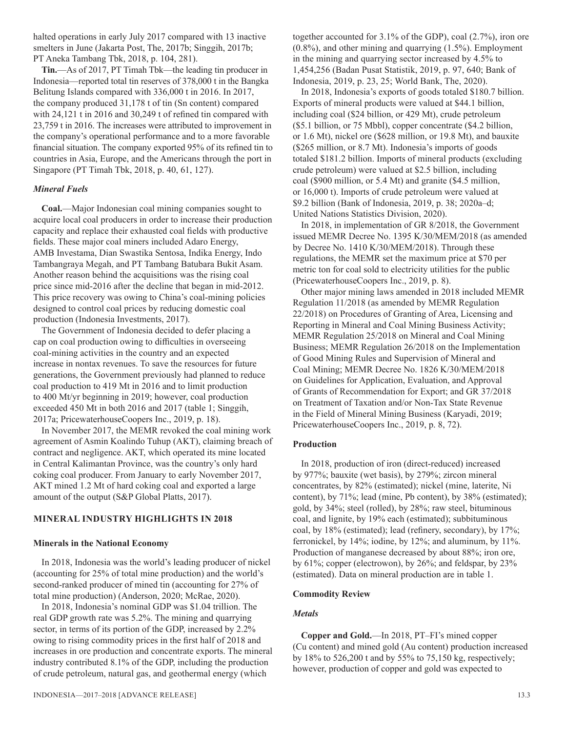halted operations in early July 2017 compared with 13 inactive smelters in June (Jakarta Post, The, 2017b; Singgih, 2017b; PT Aneka Tambang Tbk, 2018, p. 104, 281).

**Tin.**—As of 2017, PT Timah Tbk—the leading tin producer in Indonesia—reported total tin reserves of 378,000 t in the Bangka Belitung Islands compared with 336,000 t in 2016. In 2017, the company produced 31,178 t of tin (Sn content) compared with 24,121 t in 2016 and 30,249 t of refined tin compared with 23,759 t in 2016. The increases were attributed to improvement in the company's operational performance and to a more favorable financial situation. The company exported 95% of its refined tin to countries in Asia, Europe, and the Americans through the port in Singapore (PT Timah Tbk, 2018, p. 40, 61, 127).

#### *Mineral Fuels*

**Coal.**—Major Indonesian coal mining companies sought to acquire local coal producers in order to increase their production capacity and replace their exhausted coal fields with productive fields. These major coal miners included Adaro Energy, AMB Investama, Dian Swastika Sentosa, Indika Energy, Indo Tambangraya Megah, and PT Tambang Batubara Bukit Asam. Another reason behind the acquisitions was the rising coal price since mid-2016 after the decline that began in mid-2012. This price recovery was owing to China's coal-mining policies designed to control coal prices by reducing domestic coal production (Indonesia Investments, 2017).

The Government of Indonesia decided to defer placing a cap on coal production owing to difficulties in overseeing coal-mining activities in the country and an expected increase in nontax revenues. To save the resources for future generations, the Government previously had planned to reduce coal production to 419 Mt in 2016 and to limit production to 400 Mt/yr beginning in 2019; however, coal production exceeded 450 Mt in both 2016 and 2017 (table 1; Singgih, 2017a; PricewaterhouseCoopers Inc., 2019, p. 18).

In November 2017, the MEMR revoked the coal mining work agreement of Asmin Koalindo Tuhup (AKT), claiming breach of contract and negligence. AKT, which operated its mine located in Central Kalimantan Province, was the country's only hard coking coal producer. From January to early November 2017, AKT mined 1.2 Mt of hard coking coal and exported a large amount of the output (S&P Global Platts, 2017).

#### **MINERAL INDUSTRY HIGHLIGHTS IN 2018**

#### **Minerals in the National Economy**

In 2018, Indonesia was the world's leading producer of nickel (accounting for 25% of total mine production) and the world's second-ranked producer of mined tin (accounting for 27% of total mine production) (Anderson, 2020; McRae, 2020).

In 2018, Indonesia's nominal GDP was \$1.04 trillion. The real GDP growth rate was 5.2%. The mining and quarrying sector, in terms of its portion of the GDP, increased by 2.2% owing to rising commodity prices in the first half of 2018 and increases in ore production and concentrate exports. The mineral industry contributed 8.1% of the GDP, including the production of crude petroleum, natural gas, and geothermal energy (which

together accounted for 3.1% of the GDP), coal (2.7%), iron ore (0.8%), and other mining and quarrying (1.5%). Employment in the mining and quarrying sector increased by 4.5% to 1,454,256 (Badan Pusat Statistik, 2019, p. 97, 640; Bank of Indonesia, 2019, p. 23, 25; World Bank, The, 2020).

In 2018, Indonesia's exports of goods totaled \$180.7 billion. Exports of mineral products were valued at \$44.1 billion, including coal (\$24 billion, or 429 Mt), crude petroleum (\$5.1 billion, or 75 Mbbl), copper concentrate (\$4.2 billion, or 1.6 Mt), nickel ore (\$628 million, or 19.8 Mt), and bauxite (\$265 million, or 8.7 Mt). Indonesia's imports of goods totaled \$181.2 billion. Imports of mineral products (excluding crude petroleum) were valued at \$2.5 billion, including coal (\$900 million, or 5.4 Mt) and granite (\$4.5 million, or 16,000 t). Imports of crude petroleum were valued at \$9.2 billion (Bank of Indonesia, 2019, p. 38; 2020a–d; United Nations Statistics Division, 2020).

In 2018, in implementation of GR 8/2018, the Government issued MEMR Decree No. 1395 K/30/MEM/2018 (as amended by Decree No. 1410 K/30/MEM/2018). Through these regulations, the MEMR set the maximum price at \$70 per metric ton for coal sold to electricity utilities for the public (PricewaterhouseCoopers Inc., 2019, p. 8).

Other major mining laws amended in 2018 included MEMR Regulation 11/2018 (as amended by MEMR Regulation 22/2018) on Procedures of Granting of Area, Licensing and Reporting in Mineral and Coal Mining Business Activity; MEMR Regulation 25/2018 on Mineral and Coal Mining Business; MEMR Regulation 26/2018 on the Implementation of Good Mining Rules and Supervision of Mineral and Coal Mining; MEMR Decree No. 1826 K/30/MEM/2018 on Guidelines for Application, Evaluation, and Approval of Grants of Recommendation for Export; and GR 37/2018 on Treatment of Taxation and/or Non-Tax State Revenue in the Field of Mineral Mining Business (Karyadi, 2019; PricewaterhouseCoopers Inc., 2019, p. 8, 72).

#### **Production**

In 2018, production of iron (direct-reduced) increased by 977%; bauxite (wet basis), by 279%; zircon mineral concentrates, by 82% (estimated); nickel (mine, laterite, Ni content), by 71%; lead (mine, Pb content), by 38% (estimated); gold, by 34%; steel (rolled), by 28%; raw steel, bituminous coal, and lignite, by 19% each (estimated); subbituminous coal, by 18% (estimated); lead (refinery, secondary), by 17%; ferronickel, by 14%; iodine, by 12%; and aluminum, by 11%. Production of manganese decreased by about 88%; iron ore, by 61%; copper (electrowon), by 26%; and feldspar, by 23% (estimated). Data on mineral production are in table 1.

#### **Commodity Review**

#### *Metals*

**Copper and Gold.**—In 2018, PT–FI's mined copper (Cu content) and mined gold (Au content) production increased by 18% to 526,200 t and by 55% to 75,150 kg, respectively; however, production of copper and gold was expected to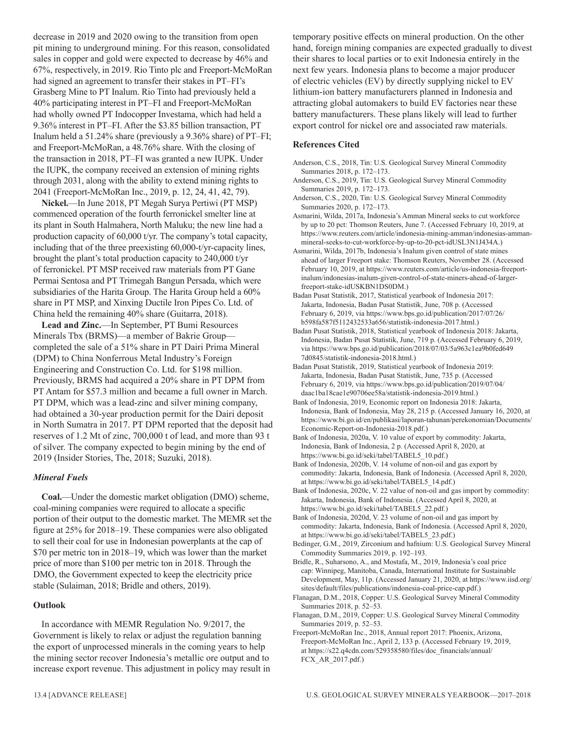decrease in 2019 and 2020 owing to the transition from open pit mining to underground mining. For this reason, consolidated sales in copper and gold were expected to decrease by 46% and 67%, respectively, in 2019. Rio Tinto plc and Freeport-McMoRan had signed an agreement to transfer their stakes in PT–FI's Grasberg Mine to PT Inalum. Rio Tinto had previously held a 40% participating interest in PT–FI and Freeport-McMoRan had wholly owned PT Indocopper Investama, which had held a 9.36% interest in PT–FI. After the \$3.85 billion transaction, PT Inalum held a 51.24% share (previously a 9.36% share) of PT–FI; and Freeport-McMoRan, a 48.76% share. With the closing of the transaction in 2018, PT–FI was granted a new IUPK. Under the IUPK, the company received an extension of mining rights through 2031, along with the ability to extend mining rights to 2041 (Freeport-McMoRan Inc., 2019, p. 12, 24, 41, 42, 79).

**Nickel.**—In June 2018, PT Megah Surya Pertiwi (PT MSP) commenced operation of the fourth ferronickel smelter line at its plant in South Halmahera, North Maluku; the new line had a production capacity of 60,000 t/yr. The company's total capacity, including that of the three preexisting 60,000-t/yr-capacity lines, brought the plant's total production capacity to 240,000 t/yr of ferronickel. PT MSP received raw materials from PT Gane Permai Sentosa and PT Trimegah Bangun Persada, which were subsidiaries of the Harita Group. The Harita Group held a 60% share in PT MSP, and Xinxing Ductile Iron Pipes Co. Ltd. of China held the remaining 40% share (Guitarra, 2018).

**Lead and Zinc.**—In September, PT Bumi Resources Minerals Tbx (BRMS)—a member of Bakrie Group completed the sale of a 51% share in PT Dairi Prima Mineral (DPM) to China Nonferrous Metal Industry's Foreign Engineering and Construction Co. Ltd. for \$198 million. Previously, BRMS had acquired a 20% share in PT DPM from PT Antam for \$57.3 million and became a full owner in March. PT DPM, which was a lead-zinc and silver mining company, had obtained a 30-year production permit for the Dairi deposit in North Sumatra in 2017. PT DPM reported that the deposit had reserves of 1.2 Mt of zinc, 700,000 t of lead, and more than 93 t of silver. The company expected to begin mining by the end of 2019 (Insider Stories, The, 2018; Suzuki, 2018).

#### *Mineral Fuels*

**Coal.**—Under the domestic market obligation (DMO) scheme, coal-mining companies were required to allocate a specific portion of their output to the domestic market. The MEMR set the figure at 25% for 2018–19. These companies were also obligated to sell their coal for use in Indonesian powerplants at the cap of \$70 per metric ton in 2018–19, which was lower than the market price of more than \$100 per metric ton in 2018. Through the DMO, the Government expected to keep the electricity price stable (Sulaiman, 2018; Bridle and others, 2019).

#### **Outlook**

In accordance with MEMR Regulation No. 9/2017, the Government is likely to relax or adjust the regulation banning the export of unprocessed minerals in the coming years to help the mining sector recover Indonesia's metallic ore output and to increase export revenue. This adjustment in policy may result in temporary positive effects on mineral production. On the other hand, foreign mining companies are expected gradually to divest their shares to local parties or to exit Indonesia entirely in the next few years. Indonesia plans to become a major producer of electric vehicles (EV) by directly supplying nickel to EV lithium-ion battery manufacturers planned in Indonesia and attracting global automakers to build EV factories near these battery manufacturers. These plans likely will lead to further export control for nickel ore and associated raw materials.

#### **References Cited**

- Anderson, C.S., 2018, Tin: U.S. Geological Survey Mineral Commodity Summaries 2018, p. 172–173.
- Anderson, C.S., 2019, Tin: U.S. Geological Survey Mineral Commodity Summaries 2019, p. 172–173.
- Anderson, C.S., 2020, Tin: U.S. Geological Survey Mineral Commodity Summaries 2020, p. 172–173.
- Asmarini, Wilda, 2017a, Indonesia's Amman Mineral seeks to cut workforce by up to 20 pct: Thomson Reuters, June 7. (Accessed February 10, 2019, at https://www.reuters.com/article/indonesia-mining-amman/indonesias-ammanmineral-seeks-to-cut-workforce-by-up-to-20-pct-idUSL3N1J434A.)
- Asmarini, Wilda, 2017b, Indonesia's Inalum given control of state mines ahead of larger Freeport stake: Thomson Reuters, November 28. (Accessed February 10, 2019, at https://www.reuters.com/article/us-indonesia-freeportinalum/indonesias-inalum-given-control-of-state-miners-ahead-of-largerfreeport-stake-idUSKBN1DS0DM.)
- Badan Pusat Statistik, 2017, Statistical yearbook of Indonesia 2017: Jakarta, Indonesia, Badan Pusat Statistik, June, 708 p. (Accessed February 6, 2019, via https://www.bps.go.id/publication/2017/07/26/ b598fa587f5112432533a656/statistik-indonesia-2017.html.)
- Badan Pusat Statistik, 2018, Statistical yearbook of Indonesia 2018: Jakarta, Indonesia, Badan Pusat Statistik, June, 719 p. (Accessed February 6, 2019, via https://www.bps.go.id/publication/2018/07/03/5a963c1ea9b0fed649 7d0845/statistik-indonesia-2018.html.)
- Badan Pusat Statistik, 2019, Statistical yearbook of Indonesia 2019: Jakarta, Indonesia, Badan Pusat Statistik, June, 735 p. (Accessed February 6, 2019, via https://www.bps.go.id/publication/2019/07/04/ daac1ba18cae1e90706ee58a/statistik-indonesia-2019.html.)
- Bank of Indonesia, 2019, Economic report on Indonesia 2018: Jakarta, Indonesia, Bank of Indonesia, May 28, 215 p. (Accessed January 16, 2020, at https://www.bi.go.id/en/publikasi/laporan-tahunan/perekonomian/Documents/ Economic-Report-on-Indonesia-2018.pdf.)
- Bank of Indonesia, 2020a, V. 10 value of export by commodity: Jakarta, Indonesia, Bank of Indonesia, 2 p. (Accessed April 8, 2020, at https://www.bi.go.id/seki/tabel/TABEL5\_10.pdf.)
- Bank of Indonesia, 2020b, V. 14 volume of non-oil and gas export by commodity: Jakarta, Indonesia, Bank of Indonesia. (Accessed April 8, 2020, at https://www.bi.go.id/seki/tabel/TABEL5\_14.pdf.)
- Bank of Indonesia, 2020c, V. 22 value of non-oil and gas import by commodity: Jakarta, Indonesia, Bank of Indonesia. (Accessed April 8, 2020, at https://www.bi.go.id/seki/tabel/TABEL5\_22.pdf.)
- Bank of Indonesia, 2020d, V. 23 volume of non-oil and gas import by commodity: Jakarta, Indonesia, Bank of Indonesia. (Accessed April 8, 2020, at https://www.bi.go.id/seki/tabel/TABEL5\_23.pdf.)
- Bedinger, G.M., 2019, Zirconium and hafnium: U.S. Geological Survey Mineral Commodity Summaries 2019, p. 192–193.
- Bridle, R., Suharsono, A., and Mostafa, M., 2019, Indonesia's coal price cap: Winnipeg, Manitoba, Canada, International Institute for Sustainable Development, May, 11p. (Accessed January 21, 2020, at https://www.iisd.org/ sites/default/files/publications/indonesia-coal-price-cap.pdf.)
- Flanagan, D.M., 2018, Copper: U.S. Geological Survey Mineral Commodity Summaries 2018, p. 52–53.
- Flanagan, D.M., 2019, Copper: U.S. Geological Survey Mineral Commodity Summaries 2019, p. 52–53.
- Freeport-McMoRan Inc., 2018, Annual report 2017: Phoenix, Arizona, Freeport-McMoRan Inc., April 2, 133 p. (Accessed February 19, 2019, at https://s22.q4cdn.com/529358580/files/doc\_financials/annual/ FCX\_AR\_2017.pdf.)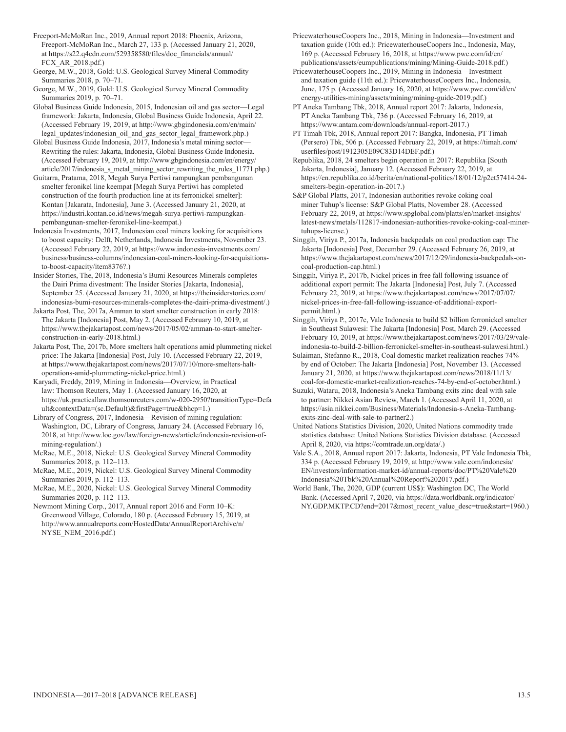Freeport-McMoRan Inc., 2019, Annual report 2018: Phoenix, Arizona, Freeport-McMoRan Inc., March 27, 133 p. (Accessed January 21, 2020, at https://s22.q4cdn.com/529358580/files/doc\_financials/annual/ FCX\_AR\_2018.pdf.)

George, M.W., 2018, Gold: U.S. Geological Survey Mineral Commodity Summaries 2018, p. 70–71.

George, M.W., 2019, Gold: U.S. Geological Survey Mineral Commodity Summaries 2019, p. 70–71.

Global Business Guide Indonesia, 2015, Indonesian oil and gas sector—Legal framework: Jakarta, Indonesia, Global Business Guide Indonesia, April 22. (Accessed February 19, 2019, at http://www.gbgindonesia.com/en/main/ legal\_updates/indonesian\_oil\_and\_gas\_sector\_legal\_framework.php.)

Global Business Guide Indonesia, 2017, Indonesia's metal mining sector— Rewriting the rules: Jakarta, Indonesia, Global Business Guide Indonesia. (Accessed February 19, 2019, at http://www.gbgindonesia.com/en/energy/ article/2017/indonesia\_s\_metal\_mining\_sector\_rewriting\_the\_rules\_11771.php.)

Guitarra, Pratama, 2018, Megah Surya Pertiwi rampungkan pembangunan smelter feronikel line keempat [Megah Surya Pertiwi has completed construction of the fourth production line at its ferronickel smelter]: Kontan [Jakarata, Indonesia], June 3. (Accessed January 21, 2020, at https://industri.kontan.co.id/news/megah-surya-pertiwi-rampungkanpembangunan-smelter-feronikel-line-keempat.)

Indonesia Investments, 2017, Indonesian coal miners looking for acquisitions to boost capacity: Delft, Netherlands, Indonesia Investments, November 23. (Accessed February 22, 2019, at https://www.indonesia-investments.com/ business/business-columns/indonesian-coal-miners-looking-for-acquisitionsto-boost-capacity/item8376?.)

Insider Stories, The, 2018, Indonesia's Bumi Resources Minerals completes the Dairi Prima divestment: The Insider Stories [Jakarta, Indonesia], September 25. (Accessed January 21, 2020, at https://theinsiderstories.com/ indonesias-bumi-resources-minerals-completes-the-dairi-prima-divestment/.)

Jakarta Post, The, 2017a, Amman to start smelter construction in early 2018: The Jakarta [Indonesia] Post, May 2. (Accessed February 10, 2019, at https://www.thejakartapost.com/news/2017/05/02/amman-to-start-smelterconstruction-in-early-2018.html.)

Jakarta Post, The, 2017b, More smelters halt operations amid plummeting nickel price: The Jakarta [Indonesia] Post, July 10. (Accessed February 22, 2019, at https://www.thejakartapost.com/news/2017/07/10/more-smelters-haltoperations-amid-plummeting-nickel-price.html.)

Karyadi, Freddy, 2019, Mining in Indonesia—Overview, in Practical law: Thomson Reuters, May 1. (Accessed January 16, 2020, at https://uk.practicallaw.thomsonreuters.com/w-020-2950?transitionType=Defa ult&contextData=(sc.Default)&firstPage=true&bhcp=1.)

Library of Congress, 2017, Indonesia—Revision of mining regulation: Washington, DC, Library of Congress, January 24. (Accessed February 16, 2018, at http://www.loc.gov/law/foreign-news/article/indonesia-revision-ofmining-regulation/.)

McRae, M.E., 2018, Nickel: U.S. Geological Survey Mineral Commodity Summaries 2018, p. 112–113.

McRae, M.E., 2019, Nickel: U.S. Geological Survey Mineral Commodity Summaries 2019, p. 112–113.

McRae, M.E., 2020, Nickel: U.S. Geological Survey Mineral Commodity Summaries 2020, p. 112–113.

Newmont Mining Corp., 2017, Annual report 2016 and Form 10–K: Greenwood Village, Colorado, 180 p. (Accessed February 15, 2019, at http://www.annualreports.com/HostedData/AnnualReportArchive/n/ NYSE\_NEM\_2016.pdf.)

PricewaterhouseCoopers Inc., 2018, Mining in Indonesia—Investment and taxation guide (10th ed.): PricewaterhouseCoopers Inc., Indonesia, May, 169 p. (Accessed February 16, 2018, at https://www.pwc.com/id/en/ publications/assets/eumpublications/mining/Mining-Guide-2018.pdf.)

PricewaterhouseCoopers Inc., 2019, Mining in Indonesia—Investment and taxation guide (11th ed.): PricewaterhouseCoopers Inc., Indonesia, June, 175 p. (Accessed January 16, 2020, at https://www.pwc.com/id/en/ energy-utilities-mining/assets/mining/mining-guide-2019.pdf.)

PT Aneka Tambang Tbk, 2018, Annual report 2017: Jakarta, Indonesia, PT Aneka Tambang Tbk, 736 p. (Accessed February 16, 2019, at https://www.antam.com/downloads/annual-report-2017.)

PT Timah Tbk, 2018, Annual report 2017: Bangka, Indonesia, PT Timah (Persero) Tbk, 506 p. (Accessed February 22, 2019, at https://timah.com/ userfiles/post/1912305E09C83D14DEF.pdf.)

Republika, 2018, 24 smelters begin operation in 2017: Republika [South Jakarta, Indonesia], January 12. (Accessed February 22, 2019, at https://en.republika.co.id/berita/en/national-politics/18/01/12/p2et57414-24 smelters-begin-operation-in-2017.)

S&P Global Platts, 2017, Indonesian authorities revoke coking coal miner Tuhup's license: S&P Global Platts, November 28. (Accessed February 22, 2019, at https://www.spglobal.com/platts/en/market-insights/ latest-news/metals/112817-indonesian-authorities-revoke-coking-coal-minertuhups-license.)

Singgih, Viriya P., 2017a, Indonesia backpedals on coal production cap: The Jakarta [Indonesia] Post, December 29. (Accessed February 26, 2019, at https://www.thejakartapost.com/news/2017/12/29/indonesia-backpedals-oncoal-production-cap.html.)

Singgih, Viriya P., 2017b, Nickel prices in free fall following issuance of additional export permit: The Jakarta [Indonesia] Post, July 7. (Accessed February 22, 2019, at https://www.thejakartapost.com/news/2017/07/07/ nickel-prices-in-free-fall-following-issuance-of-additional-exportpermit.html.)

Singgih, Viriya P., 2017c, Vale Indonesia to build \$2 billion ferronickel smelter in Southeast Sulawesi: The Jakarta [Indonesia] Post, March 29. (Accessed February 10, 2019, at https://www.thejakartapost.com/news/2017/03/29/valeindonesia-to-build-2-billion-ferronickel-smelter-in-southeast-sulawesi.html.)

Sulaiman, Stefanno R., 2018, Coal domestic market realization reaches 74% by end of October: The Jakarta [Indonesia] Post, November 13. (Accessed January 21, 2020, at https://www.thejakartapost.com/news/2018/11/13/ coal-for-domestic-market-realization-reaches-74-by-end-of-october.html.)

Suzuki, Wataru, 2018, Indonesia's Aneka Tambang exits zinc deal with sale to partner: Nikkei Asian Review, March 1. (Accessed April 11, 2020, at https://asia.nikkei.com/Business/Materials/Indonesia-s-Aneka-Tambangexits-zinc-deal-with-sale-to-partner2.)

United Nations Statistics Division, 2020, United Nations commodity trade statistics database: United Nations Statistics Division database. (Accessed April 8, 2020, via https://comtrade.un.org/data/.)

Vale S.A., 2018, Annual report 2017: Jakarta, Indonesia, PT Vale Indonesia Tbk, 334 p. (Accessed February 19, 2019, at http://www.vale.com/indonesia/ EN/investors/information-market-id/annual-reports/doc/PT%20Vale%20 Indonesia%20Tbk%20Annual%20Report%202017.pdf.)

World Bank, The, 2020, GDP (current US\$): Washington DC, The World Bank. (Accessed April 7, 2020, via https://data.worldbank.org/indicator/ NY.GDP.MKTP.CD?end=2017&most\_recent\_value\_desc=true&start=1960.)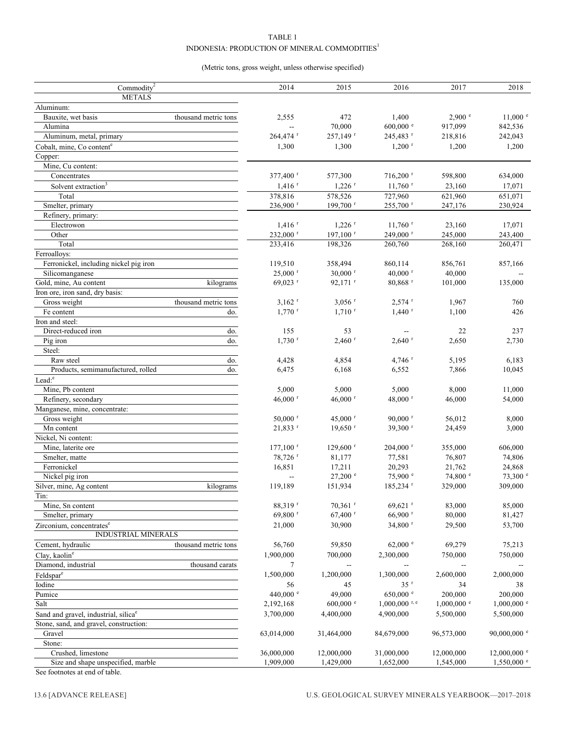#### TABLE 1 INDONESIA: PRODUCTION OF MINERAL COMMODITIES<sup>1</sup>

#### (Metric tons, gross weight, unless otherwise specified)

| Commodity <sup>2</sup>                           | 2014                   | 2015                     | 2016                        | 2017                     | 2018                     |
|--------------------------------------------------|------------------------|--------------------------|-----------------------------|--------------------------|--------------------------|
| <b>METALS</b>                                    |                        |                          |                             |                          |                          |
|                                                  |                        |                          |                             |                          |                          |
| Aluminum:                                        |                        |                          |                             |                          |                          |
| Bauxite, wet basis<br>thousand metric tons       | 2,555                  | 472                      | 1,400                       | 2,900 °                  | $11,000$ $e$             |
| Alumina                                          | $\overline{a}$         | 70,000                   | $600,000$ e                 | 917,099                  | 842,536                  |
| Aluminum, metal, primary                         | 264,474 r              | 257,149 r                | 245,483 r                   | 218,816                  | 242,043                  |
| Cobalt, mine, Co content <sup>e</sup>            | 1,300                  | 1,300                    | $1,200$ <sup>r</sup>        | 1,200                    | 1,200                    |
| Copper:                                          |                        |                          |                             |                          |                          |
| Mine, Cu content:                                |                        |                          |                             |                          |                          |
| Concentrates                                     | 377,400 r              | 577,300                  | $716,200$ <sup>r</sup>      | 598,800                  | 634,000                  |
| Solvent extraction <sup>3</sup>                  | $1,416$ <sup>r</sup>   | $1,226$ <sup>r</sup>     | $11,760$ <sup>r</sup>       | 23,160                   | 17,071                   |
| Total                                            | 378,816                | 578,526                  | 727,960                     | 621,960                  | 651,071                  |
| Smelter, primary                                 | 236,900 r              | 199,700 <sup>r</sup>     | 255,700 r                   | 247,176                  | 230,924                  |
| Refinery, primary:                               |                        |                          |                             |                          |                          |
| Electrowon                                       | $1,416$ <sup>r</sup>   | $1,226$ <sup>r</sup>     | $11,760$ <sup>r</sup>       | 23,160                   | 17,071                   |
| Other                                            | 232,000 r              | 197,100 $r$              | 249,000 r                   | 245,000                  | 243,400                  |
| Total                                            | 233,416                | 198,326                  | 260,760                     | 268,160                  | 260,471                  |
| Ferroalloys:                                     |                        |                          |                             |                          |                          |
| Ferronickel, including nickel pig iron           | 119,510                | 358,494                  | 860,114                     | 856,761                  | 857,166                  |
| Silicomanganese                                  | $25,000$ <sup>r</sup>  | $30,000$ <sup>r</sup>    | 40,000 $r$                  | 40,000                   |                          |
| Gold, mine, Au content<br>kilograms              | 69,023 r               | $92,171$ <sup>r</sup>    | $80,868$ <sup>r</sup>       | 101,000                  | 135,000                  |
| Iron ore, iron sand, dry basis:                  |                        |                          |                             |                          |                          |
| thousand metric tons<br>Gross weight             | $3,162$ <sup>r</sup>   | $3,056$ <sup>r</sup>     | $2,574$ <sup>r</sup>        | 1,967                    | 760                      |
| Fe content<br>do.                                | $1,770$ <sup>r</sup>   | $1,710$ <sup>r</sup>     | $1,440$ <sup>r</sup>        | 1,100                    | 426                      |
| Iron and steel:                                  |                        |                          |                             |                          |                          |
| Direct-reduced iron<br>do.                       | 155                    | 53                       |                             | 22                       | 237                      |
| Pig iron<br>do.                                  | $1,730$ <sup>r</sup>   | $2,460$ <sup>r</sup>     | $2,640$ <sup>r</sup>        | 2,650                    | 2,730                    |
| Steel:                                           |                        |                          |                             |                          |                          |
| Raw steel<br>do.                                 | 4,428                  | 4,854                    | $4,746$ <sup>r</sup>        | 5,195                    | 6,183                    |
| Products, semimanufactured, rolled<br>do.        | 6,475                  | 6,168                    | 6,552                       | 7,866                    | 10,045                   |
| Lead: <sup>e</sup>                               |                        |                          |                             |                          |                          |
| Mine, Pb content                                 | 5,000                  | 5,000                    | 5,000                       | 8,000                    | 11,000                   |
| Refinery, secondary                              | 46,000 $r$             | 46,000 $r$               | 48,000 r                    | 46,000                   | 54,000                   |
| Manganese, mine, concentrate:                    |                        |                          |                             |                          |                          |
| Gross weight                                     | $50,000$ <sup>r</sup>  | 45,000 $r$               | $90,000$ <sup>r</sup>       | 56,012                   | 8,000                    |
|                                                  |                        |                          |                             |                          |                          |
| Mn content<br>Nickel, Ni content:                | 21,833 r               | $19,650$ <sup>r</sup>    | 39,300 r                    | 24,459                   | 3,000                    |
|                                                  |                        |                          |                             |                          |                          |
| Mine, laterite ore                               | $177,100$ <sup>r</sup> | $129,600$ <sup>r</sup>   | $204,000$ <sup>r</sup>      | 355,000                  | 606,000                  |
| Smelter, matte                                   | 78,726 <sup>r</sup>    | 81,177                   | 77,581                      | 76,807                   | 74,806                   |
| Ferronickel                                      | 16,851                 | 17,211                   | 20,293                      | 21,762                   | 24,868                   |
| Nickel pig iron                                  | $\sim$                 | $27,200$ $\degree$       | 75,900 °                    | 74,800 °                 | $73,300$ $^{\circ}$      |
| Silver, mine, Ag content<br>kilograms            | 119,189                | 151,934                  | 185,234 <sup>r</sup>        | 329,000                  | 309,000                  |
| Tin:                                             |                        |                          |                             |                          |                          |
| Mine, Sn content                                 | 88,319 r               | $70,361$ <sup>r</sup>    | $69,621$ <sup>r</sup>       | 83,000                   | 85,000                   |
| Smelter, primary                                 | 69,800 r               | 67,400 r                 | $66,900$ <sup>r</sup>       | 80,000                   | 81,427                   |
| Zirconium, concentrates <sup>e</sup>             | 21,000                 | 30,900                   | 34,800 $r$                  | 29,500                   | 53,700                   |
| INDUSTRIAL MINERALS                              |                        |                          |                             |                          |                          |
| Cement, hydraulic<br>thousand metric tons        | 56,760                 | 59,850                   | $62,000$ $\degree$          | 69,279                   | 75,213                   |
| Clay, kaolin <sup>e</sup>                        | 1,900,000              | 700,000                  | 2,300,000                   | 750,000                  | 750,000                  |
| Diamond, industrial<br>thousand carats           | $\tau$                 | $\overline{\phantom{a}}$ | $\overline{\phantom{a}}$    | $\overline{a}$           |                          |
| Feldspar <sup>e</sup>                            | 1,500,000              | 1,200,000                | 1,300,000                   | 2,600,000                | 2,000,000                |
| Iodine                                           | 56                     | 45                       | 35r                         | 34                       | 38                       |
| Pumice                                           | 440,000 $^{\circ}$     | 49,000                   | $650,000$ $\degree$         | 200,000                  | 200,000                  |
| Salt                                             | 2,192,168              | $600,000$ e              | $1,000,000$ <sup>r, e</sup> | $1,000,000$ <sup>e</sup> | $1,000,000$ <sup>e</sup> |
| Sand and gravel, industrial, silica <sup>e</sup> | 3,700,000              | 4,400,000                | 4,900,000                   | 5,500,000                | 5,500,000                |
| Stone, sand, and gravel, construction:           |                        |                          |                             |                          |                          |
| Gravel                                           | 63,014,000             | 31,464,000               | 84,679,000                  | 96,573,000               | 90,000,000 $^{\circ}$    |
| Stone:                                           |                        |                          |                             |                          |                          |
| Crushed, limestone                               | 36,000,000             | 12,000,000               | 31,000,000                  | 12,000,000               | $12,000,000$ e           |
| Size and shape unspecified, marble               | 1,909,000              | 1,429,000                | 1,652,000                   | 1,545,000                | $1,550,000$ e            |
|                                                  |                        |                          |                             |                          |                          |

See footnotes at end of table.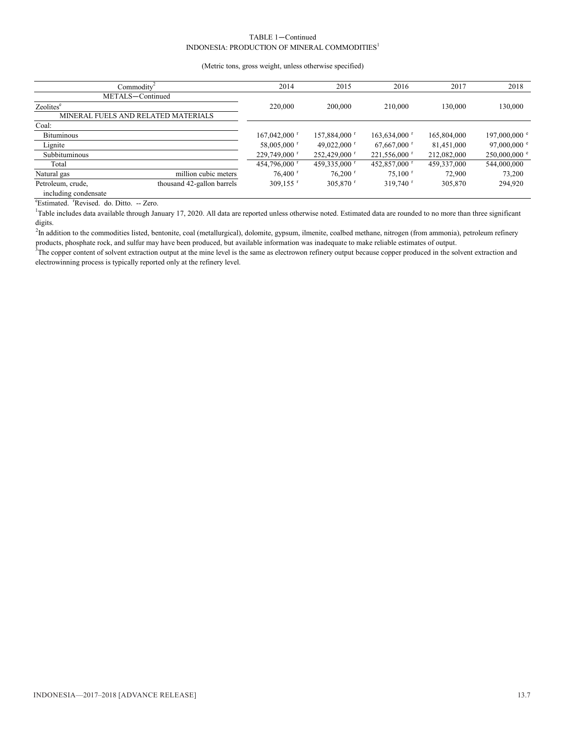#### TABLE 1—Continued INDONESIA: PRODUCTION OF MINERAL COMMODITIES<sup>1</sup>

#### (Metric tons, gross weight, unless otherwise specified)

| Commodity <sup>2</sup> | 2014                                | 2015                       | 2016                  | 2017                       | 2018        |                        |
|------------------------|-------------------------------------|----------------------------|-----------------------|----------------------------|-------------|------------------------|
| METALS-Continued       |                                     |                            |                       |                            |             |                        |
| Zeolites <sup>e</sup>  |                                     | 220,000                    | 200,000               | 210,000                    | 130,000     | 130,000                |
|                        | MINERAL FUELS AND RELATED MATERIALS |                            |                       |                            |             |                        |
| Coal:                  |                                     |                            |                       |                            |             |                        |
| <b>Bituminous</b>      |                                     | $167,042,000$ <sup>r</sup> | 157,884,000 r         | $163,634,000$ <sup>r</sup> | 165,804,000 | 197,000,000 $^{\circ}$ |
| Lignite                |                                     | 58,005,000 r               | 49,022,000 $^{\rm r}$ | $67,667,000$ <sup>r</sup>  | 81,451,000  | 97,000,000 $^{\circ}$  |
| Subbituminous          |                                     | 229,749,000 r              | 252,429,000 r         | 221,556,000 r              | 212,082,000 | $250,000,000$ °        |
| Total                  |                                     | 454,796,000 r              | 459,335,000 r         | 452,857,000 r              | 459,337,000 | 544,000,000            |
| Natural gas            | million cubic meters                | $76,400$ <sup>r</sup>      | $76,200$ r            | $75.100$ r                 | 72,900      | 73,200                 |
| Petroleum, crude,      | thousand 42-gallon barrels          | 309.155 $r$                | 305,870 $r$           | $319,740$ <sup>r</sup>     | 305,870     | 294,920                |
| including condensate   |                                     |                            |                       |                            |             |                        |

<sup>e</sup>Estimated. <sup>r</sup>Revised. do. Ditto. -- Zero.

<sup>1</sup>Table includes data available through January 17, 2020. All data are reported unless otherwise noted. Estimated data are rounded to no more than three significant digits.

<sup>2</sup>In addition to the commodities listed, bentonite, coal (metallurgical), dolomite, gypsum, ilmenite, coalbed methane, nitrogen (from ammonia), petroleum refinery products, phosphate rock, and sulfur may have been produced, but available information was inadequate to make reliable estimates of output.

<sup>3</sup>The copper content of solvent extraction output at the mine level is the same as electrowon refinery output because copper produced in the solvent extraction and electrowinning process is typically reported only at the refinery level.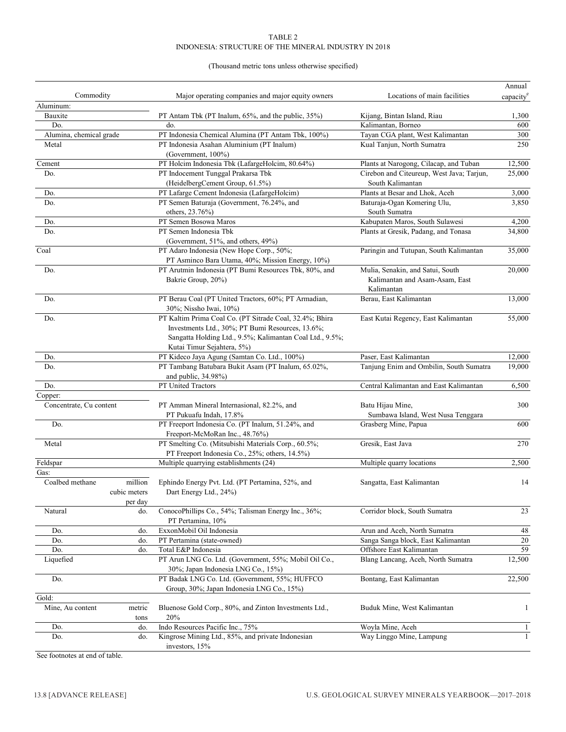#### TABLE 2 INDONESIA: STRUCTURE OF THE MINERAL INDUSTRY IN 2018

#### (Thousand metric tons unless otherwise specified)

|                         |              |                                                                                                       |                                           | Annual                |
|-------------------------|--------------|-------------------------------------------------------------------------------------------------------|-------------------------------------------|-----------------------|
| Commodity               |              | Major operating companies and major equity owners                                                     | Locations of main facilities              | capacity <sup>e</sup> |
| Aluminum:               |              |                                                                                                       |                                           |                       |
| Bauxite                 |              | PT Antam Tbk (PT Inalum, 65%, and the public, 35%)                                                    | Kijang, Bintan Island, Riau               | 1,300                 |
| Do.                     |              | do.                                                                                                   | Kalimantan, Borneo                        | 600                   |
| Alumina, chemical grade |              | PT Indonesia Chemical Alumina (PT Antam Tbk, 100%)                                                    | Tayan CGA plant, West Kalimantan          | 300                   |
| Metal                   |              | PT Indonesia Asahan Aluminium (PT Inalum)<br>(Government, 100%)                                       | Kual Tanjun, North Sumatra                | 250                   |
| Cement                  |              | PT Holcim Indonesia Tbk (LafargeHolcim, 80.64%)                                                       | Plants at Narogong, Cilacap, and Tuban    | 12,500                |
| Do.                     |              | PT Indocement Tunggal Prakarsa Tbk                                                                    | Cirebon and Citeureup, West Java; Tarjun, | 25,000                |
|                         |              | (HeidelbergCement Group, 61.5%)                                                                       | South Kalimantan                          |                       |
| Do.                     |              | PT Lafarge Cement Indonesia (LafargeHolcim)                                                           | Plants at Besar and Lhok, Aceh            | 3,000                 |
| Do.                     |              | PT Semen Baturaja (Government, 76.24%, and                                                            | Baturaja-Ogan Komering Ulu,               | 3,850                 |
|                         |              | others, 23.76%)                                                                                       | South Sumatra                             |                       |
| Do.                     |              | PT Semen Bosowa Maros                                                                                 | Kabupaten Maros, South Sulawesi           | 4,200                 |
| Do.                     |              | PT Semen Indonesia Tbk                                                                                | Plants at Gresik, Padang, and Tonasa      | 34,800                |
|                         |              | (Government, 51%, and others, 49%)                                                                    |                                           |                       |
| Coal                    |              | PT Adaro Indonesia (New Hope Corp., 50%;<br>PT Asminco Bara Utama, 40%; Mission Energy, 10%)          | Paringin and Tutupan, South Kalimantan    | 35,000                |
| Do.                     |              | PT Arutmin Indonesia (PT Bumi Resources Tbk, 80%, and                                                 | Mulia, Senakin, and Satui, South          | 20,000                |
|                         |              | Bakrie Group, 20%)                                                                                    | Kalimantan and Asam-Asam, East            |                       |
|                         |              |                                                                                                       | Kalimantan                                |                       |
| Do.                     |              | PT Berau Coal (PT United Tractors, 60%; PT Armadian,<br>30%; Nissho Iwai, 10%)                        | Berau, East Kalimantan                    | 13,000                |
| Do.                     |              | PT Kaltim Prima Coal Co. (PT Sitrade Coal, 32.4%; Bhira                                               | East Kutai Regency, East Kalimantan       | 55,000                |
|                         |              | Investments Ltd., 30%; PT Bumi Resources, 13.6%;                                                      |                                           |                       |
|                         |              | Sangatta Holding Ltd., 9.5%; Kalimantan Coal Ltd., 9.5%;                                              |                                           |                       |
|                         |              | Kutai Timur Sejahtera, 5%)                                                                            |                                           |                       |
| Do.                     |              | PT Kideco Jaya Agung (Samtan Co. Ltd., 100%)                                                          | Paser, East Kalimantan                    | 12,000                |
| Do.                     |              | PT Tambang Batubara Bukit Asam (PT Inalum, 65.02%,                                                    | Tanjung Enim and Ombilin, South Sumatra   | 19,000                |
|                         |              | and public, 34.98%)                                                                                   |                                           |                       |
| Do.                     |              | PT United Tractors                                                                                    | Central Kalimantan and East Kalimantan    | 6,500                 |
| Copper:                 |              |                                                                                                       |                                           |                       |
| Concentrate, Cu content |              | PT Amman Mineral Internasional, 82.2%, and                                                            | Batu Hijau Mine,                          | 300                   |
|                         |              | PT Pukuafu Indah, 17.8%                                                                               | Sumbawa Island, West Nusa Tenggara        |                       |
| Do.                     |              | PT Freeport Indonesia Co. (PT Inalum, 51.24%, and                                                     | Grasberg Mine, Papua                      | 600                   |
|                         |              | Freeport-McMoRan Inc., 48.76%)                                                                        |                                           |                       |
| Metal                   |              | PT Smelting Co. (Mitsubishi Materials Corp., 60.5%;<br>PT Freeport Indonesia Co., 25%; others, 14.5%) | Gresik, East Java                         | 270                   |
| Feldspar                |              | Multiple quarrying establishments (24)                                                                | Multiple quarry locations                 | 2,500                 |
| Gas:                    |              |                                                                                                       |                                           |                       |
| Coalbed methane         | million      | Ephindo Energy Pvt. Ltd. (PT Pertamina, 52%, and                                                      | Sangatta, East Kalimantan                 | 14                    |
|                         | cubic meters | Dart Energy Ltd., 24%)                                                                                |                                           |                       |
|                         | per day      |                                                                                                       |                                           |                       |
| Natural                 | do.          | ConocoPhillips Co., 54%; Talisman Energy Inc., 36%;                                                   | Corridor block, South Sumatra             | 23                    |
|                         |              | PT Pertamina, 10%                                                                                     |                                           |                       |
| Do.                     | do.          | ExxonMobil Oil Indonesia                                                                              | Arun and Aceh, North Sumatra              | 48                    |
| Do.                     | do.          | PT Pertamina (state-owned)                                                                            | Sanga Sanga block, East Kalimantan        | 20                    |
| Do.                     | do.          | Total E&P Indonesia                                                                                   | Offshore East Kalimantan                  | 59                    |
| Liquefied               |              | PT Arun LNG Co. Ltd. (Government, 55%; Mobil Oil Co.,<br>30%; Japan Indonesia LNG Co., 15%)           | Blang Lancang, Aceh, North Sumatra        | 12,500                |
| Do.                     |              | PT Badak LNG Co. Ltd. (Government, 55%; HUFFCO                                                        | Bontang, East Kalimantan                  | 22,500                |
|                         |              | Group, 30%; Japan Indonesia LNG Co., 15%)                                                             |                                           |                       |
| Gold:                   |              |                                                                                                       |                                           |                       |
| Mine, Au content        | metric       | Bluenose Gold Corp., 80%, and Zinton Investments Ltd.,                                                | Buduk Mine, West Kalimantan               | 1                     |
|                         | tons         | 20%                                                                                                   |                                           |                       |
| Do.                     | do.          | Indo Resources Pacific Inc., 75%                                                                      | Woyla Mine, Aceh                          | -1                    |
| Do.                     | do.          | Kingrose Mining Ltd., 85%, and private Indonesian                                                     | Way Linggo Mine, Lampung                  | 1                     |
|                         |              | investors, 15%                                                                                        |                                           |                       |

See footnotes at end of table.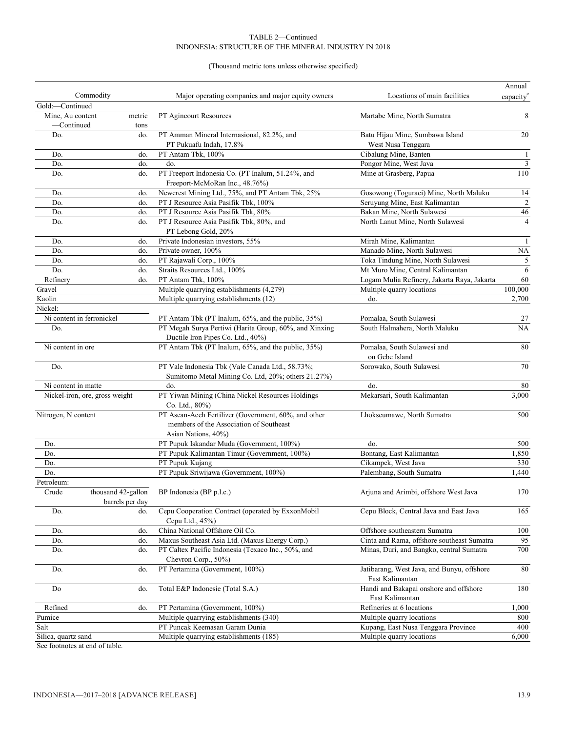#### TABLE 2—Continued INDONESIA: STRUCTURE OF THE MINERAL INDUSTRY IN 2018

#### (Thousand metric tons unless otherwise specified)

|                                |                                       |                                                                                                                        |                                                               | Annual                  |
|--------------------------------|---------------------------------------|------------------------------------------------------------------------------------------------------------------------|---------------------------------------------------------------|-------------------------|
| Commodity                      |                                       | Major operating companies and major equity owners                                                                      | Locations of main facilities                                  | capacity <sup>e</sup>   |
| Gold:-Continued                |                                       |                                                                                                                        |                                                               |                         |
| Mine. Au content               | metric                                | PT Agincourt Resources                                                                                                 | Martabe Mine, North Sumatra                                   | 8                       |
| -Continued                     | tons                                  |                                                                                                                        |                                                               |                         |
| Do.                            | do.                                   | PT Amman Mineral Internasional, 82.2%, and<br>PT Pukuafu Indah, 17.8%                                                  | Batu Hijau Mine, Sumbawa Island<br>West Nusa Tenggara         | 20                      |
| Do.                            | do.                                   | PT Antam Tbk, 100%                                                                                                     | Cibalung Mine, Banten                                         | $\mathbf{1}$            |
| Do.                            | do.                                   | do.                                                                                                                    | Pongor Mine, West Java                                        | $\overline{\mathbf{3}}$ |
| Do.                            | do.                                   | PT Freeport Indonesia Co. (PT Inalum, 51.24%, and<br>Freeport-McMoRan Inc., 48.76%)                                    | Mine at Grasberg, Papua                                       | 110                     |
| Do.                            | do.                                   | Newcrest Mining Ltd., 75%, and PT Antam Tbk, 25%                                                                       | Gosowong (Toguraci) Mine, North Maluku                        | 14                      |
| Do.                            | do.                                   | PT J Resource Asia Pasifik Tbk, 100%                                                                                   | Seruyung Mine, East Kalimantan                                | $\mathfrak{2}$          |
| Do.                            | do.                                   | PT J Resource Asia Pasifik Tbk, 80%                                                                                    | Bakan Mine, North Sulawesi                                    | 46                      |
| Do.                            | do.                                   | PT J Resource Asia Pasifik Tbk, 80%, and                                                                               | North Lanut Mine, North Sulawesi                              | $\overline{4}$          |
|                                |                                       | PT Lebong Gold, 20%                                                                                                    |                                                               |                         |
| Do.                            | do.                                   | Private Indonesian investors, 55%                                                                                      | Mirah Mine, Kalimantan                                        | $\mathbf{1}$            |
| Do.                            | do.                                   | Private owner, 100%                                                                                                    | Manado Mine, North Sulawesi                                   | NA                      |
| Do.                            | do.                                   | PT Rajawali Corp., 100%                                                                                                | Toka Tindung Mine, North Sulawesi                             | $\sqrt{5}$              |
| Do.                            | do.                                   | Straits Resources Ltd., 100%                                                                                           | Mt Muro Mine, Central Kalimantan                              | 6                       |
| Refinery                       | do.                                   | PT Antam Tbk, 100%                                                                                                     | Logam Mulia Refinery, Jakarta Raya, Jakarta                   | 60                      |
| Gravel                         |                                       | Multiple quarrying establishments (4,279)                                                                              | Multiple quarry locations                                     | 100,000                 |
| Kaolin                         |                                       | Multiple quarrying establishments (12)                                                                                 | do.                                                           | 2,700                   |
| Nickel:                        |                                       |                                                                                                                        |                                                               |                         |
| Ni content in ferronickel      |                                       | PT Antam Tbk (PT Inalum, 65%, and the public, 35%)                                                                     | Pomalaa, South Sulawesi                                       | 27                      |
| Do.                            |                                       | PT Megah Surya Pertiwi (Harita Group, 60%, and Xinxing                                                                 | South Halmahera, North Maluku                                 | <b>NA</b>               |
|                                |                                       | Ductile Iron Pipes Co. Ltd., 40%)                                                                                      |                                                               |                         |
| Ni content in ore              |                                       | PT Antam Tbk (PT Inalum, 65%, and the public, 35%)                                                                     | Pomalaa, South Sulawesi and<br>on Gebe Island                 | 80                      |
| Do.                            |                                       | PT Vale Indonesia Tbk (Vale Canada Ltd., 58.73%;<br>Sumitomo Metal Mining Co. Ltd, 20%; others 21.27%)                 | Sorowako, South Sulawesi                                      | 70                      |
| Ni content in matte            |                                       | do.                                                                                                                    | do.                                                           | 80                      |
| Nickel-iron, ore, gross weight |                                       | PT Yiwan Mining (China Nickel Resources Holdings<br>Co. Ltd., 80%)                                                     | Mekarsari, South Kalimantan                                   | 3,000                   |
| Nitrogen, N content            |                                       | PT Asean-Aceh Fertilizer (Government, 60%, and other<br>members of the Association of Southeast<br>Asian Nations, 40%) | Lhokseumawe, North Sumatra                                    | 500                     |
| Do.                            |                                       | PT Pupuk Iskandar Muda (Government, 100%)                                                                              | do.                                                           | 500                     |
| Do.                            |                                       | PT Pupuk Kalimantan Timur (Government, 100%)                                                                           | Bontang, East Kalimantan                                      | 1,850                   |
| Do.                            |                                       | PT Pupuk Kujang                                                                                                        | Cikampek, West Java                                           | 330                     |
| Do.                            |                                       | PT Pupuk Sriwijawa (Government, 100%)                                                                                  | Palembang, South Sumatra                                      | 1,440                   |
| Petroleum:                     |                                       |                                                                                                                        |                                                               |                         |
| Crude                          | thousand 42-gallon<br>barrels per day | BP Indonesia (BP p.l.c.)                                                                                               | Arjuna and Arimbi, offshore West Java                         | $170\,$                 |
| Do.                            | do.                                   | Cepu Cooperation Contract (operated by ExxonMobil<br>Cepu Ltd., 45%)                                                   | Cepu Block, Central Java and East Java                        | 165                     |
| Do.                            | do.                                   | China National Offshore Oil Co.                                                                                        | Offshore southeastern Sumatra                                 | 100                     |
| Do.                            | do.                                   | Maxus Southeast Asia Ltd. (Maxus Energy Corp.)                                                                         | Cinta and Rama, offshore southeast Sumatra                    | 95                      |
| Do.                            | do.                                   | PT Caltex Pacific Indonesia (Texaco Inc., 50%, and                                                                     | Minas, Duri, and Bangko, central Sumatra                      | 700                     |
|                                |                                       | Chevron Corp., 50%)                                                                                                    |                                                               |                         |
| Do.                            | do.                                   | PT Pertamina (Government, 100%)                                                                                        | Jatibarang, West Java, and Bunyu, offshore<br>East Kalimantan | 80                      |
| Do                             | do.                                   | Total E&P Indonesie (Total S.A.)                                                                                       | Handi and Bakapai onshore and offshore<br>East Kalimantan     | 180                     |
| Refined                        | do.                                   | PT Pertamina (Government, 100%)                                                                                        | Refineries at 6 locations                                     | 1,000                   |
| Pumice                         |                                       | Multiple quarrying establishments (340)                                                                                | Multiple quarry locations                                     | 800                     |
| Salt                           |                                       | PT Puncak Keemasan Garam Dunia                                                                                         | Kupang, East Nusa Tenggara Province                           | 400                     |
| Silica, quartz sand            |                                       | Multiple quarrying establishments (185)                                                                                | Multiple quarry locations                                     | 6,000                   |
|                                |                                       |                                                                                                                        |                                                               |                         |

See footnotes at end of table.